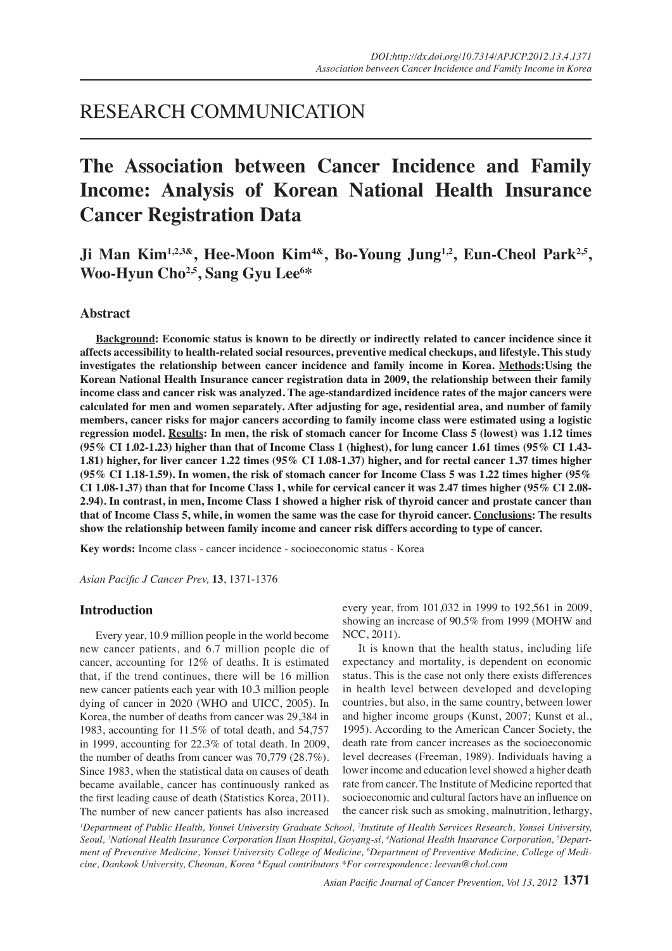# RESEARCH COMMUNICATION

# **The Association between Cancer Incidence and Family Income: Analysis of Korean National Health Insurance Cancer Registration Data**

Ji Man Kim<sup>1,2,3&</sup>, Hee-Moon Kim<sup>4&</sup>, Bo-Young Jung<sup>1,2</sup>, Eun-Cheol Park<sup>2,5</sup>, **Woo-Hyun Cho2,5, Sang Gyu Lee6 \***

# **Abstract**

**Background: Economic status is known to be directly or indirectly related to cancer incidence since it affects accessibility to health-related social resources, preventive medical checkups, and lifestyle. This study investigates the relationship between cancer incidence and family income in Korea. Methods:Using the Korean National Health Insurance cancer registration data in 2009, the relationship between their family income class and cancer risk was analyzed. The age-standardized incidence rates of the major cancers were calculated for men and women separately. After adjusting for age, residential area, and number of family members, cancer risks for major cancers according to family income class were estimated using a logistic regression model. Results: In men, the risk of stomach cancer for Income Class 5 (lowest) was 1.12 times (95% CI 1.02-1.23) higher than that of Income Class 1 (highest), for lung cancer 1.61 times (95% CI 1.43- 1.81) higher, for liver cancer 1.22 times (95% CI 1.08-1.37) higher, and for rectal cancer 1.37 times higher (95% CI 1.18-1.59). In women, the risk of stomach cancer for Income Class 5 was 1.22 times higher (95% CI 1.08-1.37) than that for Income Class 1, while for cervical cancer it was 2.47 times higher (95% CI 2.08- 2.94). In contrast, in men, Income Class 1 showed a higher risk of thyroid cancer and prostate cancer than that of Income Class 5, while, in women the same was the case for thyroid cancer. Conclusions: The results show the relationship between family income and cancer risk differs according to type of cancer.**

**Key words:** Income class - cancer incidence - socioeconomic status - Korea

*Asian Pacific J Cancer Prev,* **13**, 1371-1376

# **Introduction**

Every year, 10.9 million people in the world become new cancer patients, and 6.7 million people die of cancer, accounting for 12% of deaths. It is estimated that, if the trend continues, there will be 16 million new cancer patients each year with 10.3 million people dying of cancer in 2020 (WHO and UICC, 2005). In Korea, the number of deaths from cancer was 29,384 in 1983, accounting for 11.5% of total death, and 54,757 in 1999, accounting for 22.3% of total death. In 2009, the number of deaths from cancer was 70,779 (28.7%). Since 1983, when the statistical data on causes of death became available, cancer has continuously ranked as the first leading cause of death (Statistics Korea, 2011). The number of new cancer patients has also increased

every year, from 101,032 in 1999 to 192,561 in 2009, showing an increase of 90.5% from 1999 (MOHW and NCC, 2011).

It is known that the health status, including life expectancy and mortality, is dependent on economic status. This is the case not only there exists differences in health level between developed and developing countries, but also, in the same country, between lower and higher income groups (Kunst, 2007; Kunst et al., 1995). According to the American Cancer Society, the death rate from cancer increases as the socioeconomic level decreases (Freeman, 1989). Individuals having a lower income and education level showed a higher death rate from cancer. The Institute of Medicine reported that socioeconomic and cultural factors have an influence on the cancer risk such as smoking, malnutrition, lethargy,

*1 Department of Public Health, Yonsei University Graduate School, 2 Institute of Health Services Research, Yonsei University, Seoul, 3 National Health Insurance Corporation Ilsan Hospital, Goyang-si, 4 National Health Insurance Corporation, 5 Department of Preventive Medicine, Yonsei University College of Medicine, 6 Department of Preventive Medicine, College of Medicine, Dankook University, Cheonan, Korea &Equal contributors \*For correspondence: leevan@chol.com* 

*Asian Pacific Journal of Cancer Prevention, Vol 13, 2012* **1371**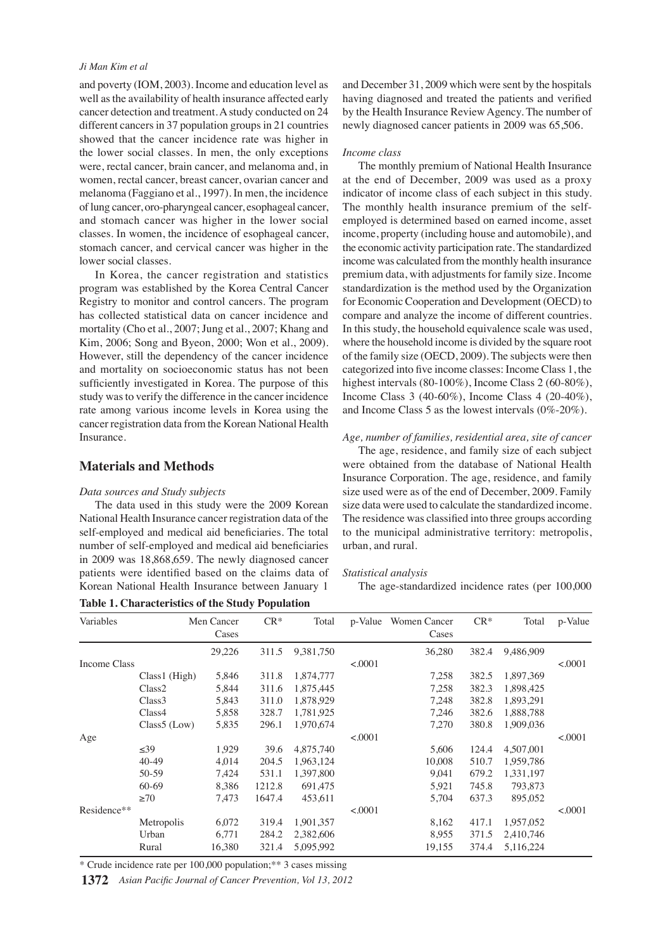#### *Ji Man Kim et al*

and poverty (IOM, 2003). Income and education level as well as the availability of health insurance affected early cancer detection and treatment. A study conducted on 24 different cancers in 37 population groups in 21 countries showed that the cancer incidence rate was higher in the lower social classes. In men, the only exceptions were, rectal cancer, brain cancer, and melanoma and, in women, rectal cancer, breast cancer, ovarian cancer and melanoma (Faggiano et al., 1997). In men, the incidence of lung cancer, oro-pharyngeal cancer, esophageal cancer, and stomach cancer was higher in the lower social classes. In women, the incidence of esophageal cancer, stomach cancer, and cervical cancer was higher in the lower social classes.

In Korea, the cancer registration and statistics program was established by the Korea Central Cancer Registry to monitor and control cancers. The program has collected statistical data on cancer incidence and mortality (Cho et al., 2007; Jung et al., 2007; Khang and Kim, 2006; Song and Byeon, 2000; Won et al., 2009). However, still the dependency of the cancer incidence and mortality on socioeconomic status has not been sufficiently investigated in Korea. The purpose of this study was to verify the difference in the cancer incidence rate among various income levels in Korea using the cancer registration data from the Korean National Health Insurance.

# **Materials and Methods**

#### *Data sources and Study subjects*

The data used in this study were the 2009 Korean National Health Insurance cancer registration data of the self-employed and medical aid beneficiaries. The total number of self-employed and medical aid beneficiaries in 2009 was 18,868,659. The newly diagnosed cancer patients were identified based on the claims data of Korean National Health Insurance between January 1

The monthly health insurance premium of the selfemployed is determined based on earned income, asset income, property (including house and automobile), and the economic activity participation rate. The standardized income was calculated from the monthly health insurance

*Income class*

premium data, with adjustments for family size. Income standardization is the method used by the Organization for Economic Cooperation and Development (OECD) to compare and analyze the income of different countries. In this study, the household equivalence scale was used, where the household income is divided by the square root of the family size (OECD, 2009). The subjects were then categorized into five income classes: Income Class 1, the highest intervals (80-100%), Income Class 2 (60-80%), Income Class 3 (40-60%), Income Class 4 (20-40%), and Income Class 5 as the lowest intervals (0%-20%).

and December 31, 2009 which were sent by the hospitals having diagnosed and treated the patients and verified by the Health Insurance Review Agency. The number of newly diagnosed cancer patients in 2009 was 65,506.

The monthly premium of National Health Insurance at the end of December, 2009 was used as a proxy indicator of income class of each subject in this study.

*Age, number of families, residential area, site of cancer*

The age, residence, and family size of each subject were obtained from the database of National Health Insurance Corporation. The age, residence, and family size used were as of the end of December, 2009. Family size data were used to calculate the standardized income. The residence was classified into three groups according to the municipal administrative territory: metropolis, urban, and rural.

#### *Statistical analysis*

The age-standardized incidence rates (per 100,000

| Variables    |                    | Men Cancer | л.<br>$CR*$ | Total     | p-Value | Women Cancer | $CR*$ | Total     | p-Value |  |
|--------------|--------------------|------------|-------------|-----------|---------|--------------|-------|-----------|---------|--|
|              |                    | Cases      |             |           |         | Cases        |       |           |         |  |
|              |                    | 29,226     | 311.5       | 9,381,750 |         | 36,280       | 382.4 | 9,486,909 |         |  |
| Income Class |                    |            |             |           | < .0001 |              |       |           | < .0001 |  |
|              | Class1 (High)      | 5,846      | 311.8       | 1,874,777 |         | 7,258        | 382.5 | 1,897,369 |         |  |
|              | Class <sub>2</sub> | 5,844      | 311.6       | 1,875,445 |         | 7,258        | 382.3 | 1,898,425 |         |  |
|              | Class <sub>3</sub> | 5,843      | 311.0       | 1,878,929 |         | 7,248        | 382.8 | 1,893,291 |         |  |
|              | Class4             | 5,858      | 328.7       | 1,781,925 |         | 7,246        | 382.6 | 1,888,788 |         |  |
|              | Class5 (Low)       | 5,835      | 296.1       | 1,970,674 |         | 7,270        | 380.8 | 1,909,036 |         |  |
| Age          |                    |            |             |           | < .0001 |              |       |           | < 0001  |  |
|              | $\leq 39$          | 1,929      | 39.6        | 4,875,740 |         | 5,606        | 124.4 | 4,507,001 |         |  |
|              | $40-49$            | 4,014      | 204.5       | 1,963,124 |         | 10,008       | 510.7 | 1,959,786 |         |  |
|              | 50-59              | 7,424      | 531.1       | 1,397,800 |         | 9,041        | 679.2 | 1,331,197 |         |  |
|              | 60-69              | 8,386      | 1212.8      | 691,475   |         | 5,921        | 745.8 | 793,873   |         |  |
|              | $\geq 70$          | 7,473      | 1647.4      | 453,611   |         | 5,704        | 637.3 | 895,052   |         |  |
| Residence**  |                    |            |             |           | < .0001 |              |       |           | < 0001  |  |
|              | Metropolis         | 6,072      | 319.4       | 1,901,357 |         | 8,162        | 417.1 | 1,957,052 |         |  |
|              | Urban              | 6,771      | 284.2       | 2,382,606 |         | 8,955        | 371.5 | 2,410,746 |         |  |
|              | Rural              | 16,380     | 321.4       | 5,095,992 |         | 19,155       | 374.4 | 5,116,224 |         |  |

**Table 1. Characteristics of the Study Population** 

\* Crude incidence rate per 100,000 population;\*\* 3 cases missing

*Asian Pacific Journal of Cancer Prevention, Vol 13, 2012* **1372**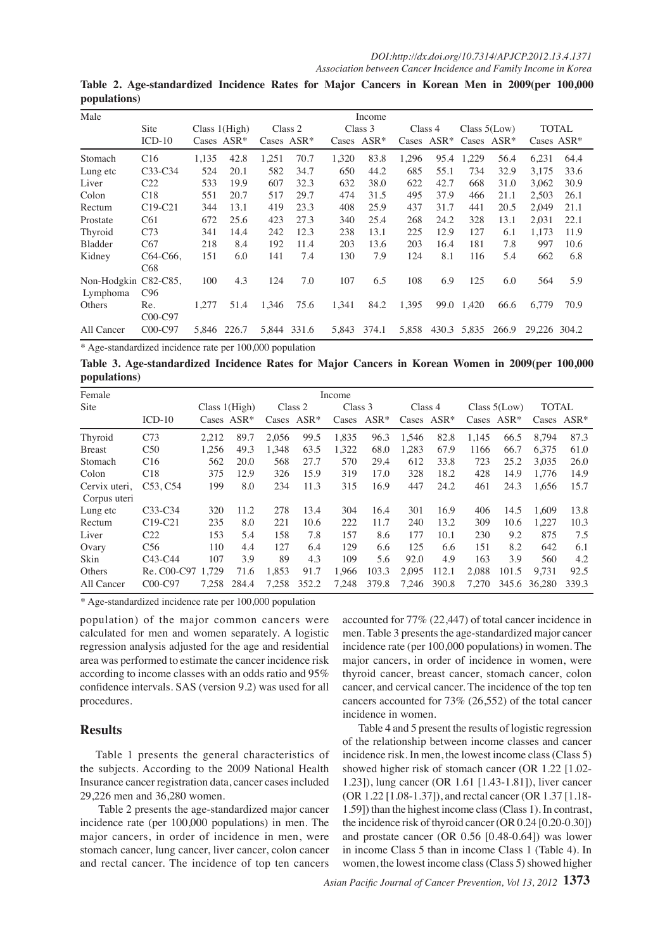| Male                    |                                    |       |         |                  |             | Income |         |         |               |                 |               |              |      |
|-------------------------|------------------------------------|-------|---------|------------------|-------------|--------|---------|---------|---------------|-----------------|---------------|--------------|------|
|                         | Site<br>Class $1(High)$            |       |         | Class 2          |             |        | Class 3 | Class 4 |               | Class $5$ (Low) |               | <b>TOTAL</b> |      |
|                         | $ICD-10$<br>Cases $ASR^*$<br>Cases |       | $ASR^*$ | $ASR^*$<br>Cases |             | Cases  | $ASR^*$ |         | Cases $ASR^*$ |                 | Cases $ASR^*$ |              |      |
| Stomach                 | C16                                | 1,135 | 42.8    | 1,251            | 70.7        | 1,320  | 83.8    | 1,296   | 95.4          | 1,229           | 56.4          | 6,231        | 64.4 |
| Lung etc                | $C33-C34$                          | 524   | 20.1    | 582              | 34.7        | 650    | 44.2    | 685     | 55.1          | 734             | 32.9          | 3.175        | 33.6 |
| Liver                   | C <sub>22</sub>                    | 533   | 19.9    | 607              | 32.3        | 632    | 38.0    | 622     | 42.7          | 668             | 31.0          | 3,062        | 30.9 |
| Colon                   | C18                                | 551   | 20.7    | 517              | 29.7        | 474    | 31.5    | 495     | 37.9          | 466             | 21.1          | 2,503        | 26.1 |
| Rectum                  | $C19-C21$                          | 344   | 13.1    | 419              | 23.3        | 408    | 25.9    | 437     | 31.7          | 441             | 20.5          | 2,049        | 21.1 |
| Prostate                | C61                                | 672   | 25.6    | 423              | 27.3        | 340    | 25.4    | 268     | 24.2          | 328             | 13.1          | 2,031        | 22.1 |
| Thyroid                 | C <sub>73</sub>                    | 341   | 14.4    | 242              | 12.3        | 238    | 13.1    | 225     | 12.9          | 127             | 6.1           | 1,173        | 11.9 |
| <b>Bladder</b>          | C67                                | 218   | 8.4     | 192              | 11.4        | 203    | 13.6    | 203     | 16.4          | 181             | 7.8           | 997          | 10.6 |
| Kidney                  | C64-C66,<br>C68                    | 151   | 6.0     | 141              | 7.4         | 130    | 7.9     | 124     | 8.1           | 116             | 5.4           | 662          | 6.8  |
| Non-Hodgkin<br>Lymphoma | $C82-C85$<br>C96                   | 100   | 4.3     | 124              | 7.0         | 107    | 6.5     | 108     | 6.9           | 125             | 6.0           | 564          | 5.9  |
| Others                  | Re.<br>C00-C97                     | 1.277 | 51.4    | 1.346            | 75.6        | 1,341  | 84.2    | 1,395   |               | 99.0 1.420      | 66.6          | 6.779        | 70.9 |
| All Cancer              | C00-C97                            | 5.846 | 226.7   |                  | 5,844 331.6 | 5,843  | 374.1   | 5,858   |               | 430.3 5,835     | 266.9         | 29.226 304.2 |      |

**Table 2. Age-standardized Incidence Rates for Major Cancers in Korean Men in 2009(per 100,000 populations)** 

\* Age-standardized incidence rate per 100,000 population

**Table 3. Age-standardized Incidence Rates for Major Cancers in Korean Women in 2009(per 100,000 populations)**

| Female         |                                   |                 |               |       | Income        |       |               |               |       |       |                 |              |        |
|----------------|-----------------------------------|-----------------|---------------|-------|---------------|-------|---------------|---------------|-------|-------|-----------------|--------------|--------|
| Site           |                                   | Class $1(High)$ |               |       | Class 2       |       | Class 3       | Class 4       |       |       | Class $5$ (Low) | <b>TOTAL</b> |        |
|                | $ICD-10$                          |                 | Cases $ASR^*$ |       | Cases $ASR^*$ |       | Cases $ASR^*$ | Cases $ASR^*$ |       |       | Cases $ASR^*$   | Cases        | $ASR*$ |
| Thyroid        | C73                               | 2.212           | 89.7          | 2.056 | 99.5          | 1.835 | 96.3          | 1.546         | 82.8  | 1.145 | 66.5            | 8.794        | 87.3   |
| <b>B</b> reast | C50                               | 1.256           | 49.3          | 1.348 | 63.5          | 1,322 | 68.0          | 1.283         | 67.9  | 1166  | 66.7            | 6.375        | 61.0   |
| Stomach        | C16                               | 562             | 20.0          | 568   | 27.7          | 570   | 29.4          | 612           | 33.8  | 723   | 25.2            | 3.035        | 26.0   |
| Colon          | C18                               | 375             | 12.9          | 326   | 15.9          | 319   | 17.0          | 328           | 18.2  | 428   | 14.9            | 1,776        | 14.9   |
| Cervix uteri,  | C <sub>53</sub> , C <sub>54</sub> | 199             | 8.0           | 234   | 11.3          | 315   | 16.9          | 447           | 24.2  | 461   | 24.3            | 1.656        | 15.7   |
| Corpus uteri   |                                   |                 |               |       |               |       |               |               |       |       |                 |              |        |
| Lung etc       | $C33-C34$                         | 320             | 11.2          | 278   | 13.4          | 304   | 16.4          | 301           | 16.9  | 406   | 14.5            | 1.609        | 13.8   |
| Rectum         | $C19-C21$                         | 235             | 8.0           | 221   | 10.6          | 222   | 11.7          | 240           | 13.2  | 309   | 10.6            | 1.227        | 10.3   |
| Liver          | C <sub>22</sub>                   | 153             | 5.4           | 158   | 7.8           | 157   | 8.6           | 177           | 10.1  | 230   | 9.2             | 875          | 7.5    |
| Ovary          | C56                               | 110             | 4.4           | 127   | 6.4           | 129   | 6.6           | 125           | 6.6   | 151   | 8.2             | 642          | 6.1    |
| Skin           | $C43-C44$                         | 107             | 3.9           | 89    | 4.3           | 109   | 5.6           | 92.0          | 4.9   | 163   | 3.9             | 560          | 4.2    |
| Others         | Re. C00-C97                       | 1.729           | 71.6          | 1.853 | 91.7          | 1.966 | 103.3         | 2.095         | 112.1 | 2.088 | 101.5           | 9.731        | 92.5   |
| All Cancer     | $COO-C97$                         | 7.258           | 284.4         | 7.258 | 352.2         | 7.248 | 379.8         | 7.246         | 390.8 | 7.270 |                 | 345.6 36.280 | 339.3  |

\* Age-standardized incidence rate per 100,000 population

population) of the major common cancers were calculated for men and women separately. A logistic regression analysis adjusted for the age and residential area was performed to estimate the cancer incidence risk according to income classes with an odds ratio and 95% confidence intervals. SAS (version 9.2) was used for all procedures.

#### **Results**

Table 1 presents the general characteristics of the subjects. According to the 2009 National Health Insurance cancer registration data, cancer cases included 29,226 men and 36,280 women.

 Table 2 presents the age-standardized major cancer incidence rate (per 100,000 populations) in men. The major cancers, in order of incidence in men, were stomach cancer, lung cancer, liver cancer, colon cancer and rectal cancer. The incidence of top ten cancers

accounted for 77% (22,447) of total cancer incidence in men. Table 3 presents the age-standardized major cancer incidence rate (per 100,000 populations) in women. The major cancers, in order of incidence in women, were thyroid cancer, breast cancer, stomach cancer, colon cancer, and cervical cancer. The incidence of the top ten cancers accounted for 73% (26,552) of the total cancer incidence in women.

Table 4 and 5 present the results of logistic regression of the relationship between income classes and cancer incidence risk. In men, the lowest income class (Class 5) showed higher risk of stomach cancer (OR 1.22 [1.02- 1.23]), lung cancer (OR 1.61 [1.43-1.81]), liver cancer (OR 1.22 [1.08-1.37]), and rectal cancer (OR 1.37 [1.18- 1.59]) than the highest income class (Class 1). In contrast, the incidence risk of thyroid cancer (OR 0.24 [0.20-0.30]) and prostate cancer (OR 0.56 [0.48-0.64]) was lower in income Class 5 than in income Class 1 (Table 4). In women, the lowest income class (Class 5) showed higher

*Asian Pacific Journal of Cancer Prevention, Vol 13, 2012* **1373**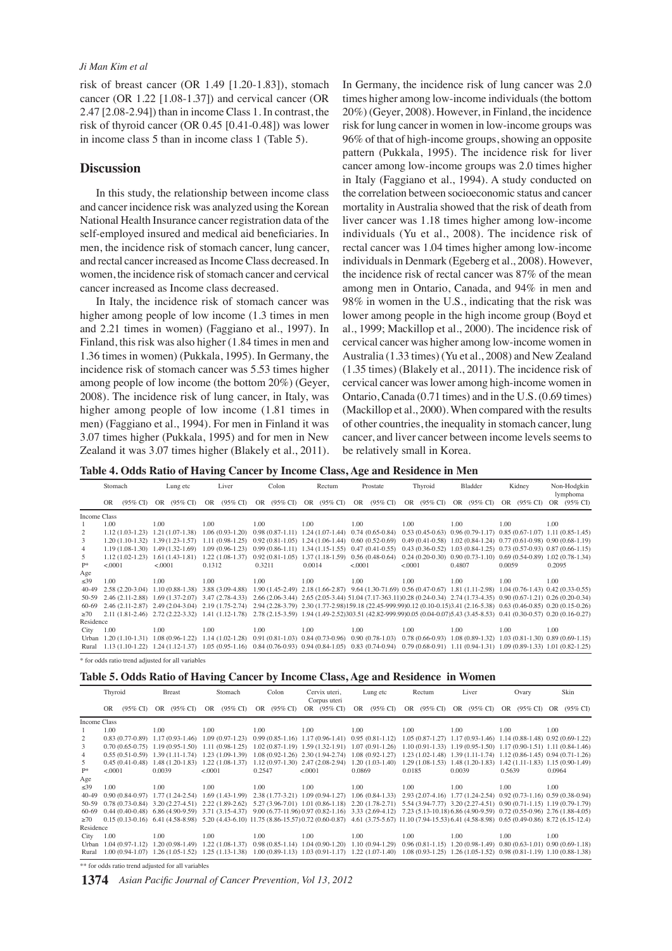risk of breast cancer (OR 1.49 [1.20-1.83]), stomach cancer (OR 1.22 [1.08-1.37]) and cervical cancer (OR 2.47 [2.08-2.94]) than in income Class 1. In contrast, the risk of thyroid cancer (OR 0.45 [0.41-0.48]) was lower in income class 5 than in income class 1 (Table 5).

# **Discussion**

In this study, the relationship between income class and cancer incidence risk was analyzed using the Korean National Health Insurance cancer registration data of the self-employed insured and medical aid beneficiaries. In men, the incidence risk of stomach cancer, lung cancer, and rectal cancer increased as Income Class decreased. In women, the incidence risk of stomach cancer and cervical cancer increased as Income class decreased.

In Italy, the incidence risk of stomach cancer was higher among people of low income (1.3 times in men and 2.21 times in women) (Faggiano et al., 1997). In Finland, this risk was also higher (1.84 times in men and 1.36 times in women) (Pukkala, 1995). In Germany, the incidence risk of stomach cancer was 5.53 times higher among people of low income (the bottom 20%) (Geyer, 2008). The incidence risk of lung cancer, in Italy, was higher among people of low income (1.81 times in men) (Faggiano et al., 1994). For men in Finland it was 3.07 times higher (Pukkala, 1995) and for men in New Zealand it was 3.07 times higher (Blakely et al., 2011).

In Germany, the incidence risk of lung cancer was 2.0 times higher among low-income individuals (the bottom 20%) (Geyer, 2008). However, in Finland, the incidence risk for lung cancer in women in low-income groups was 96% of that of high-income groups, showing an opposite pattern (Pukkala, 1995). The incidence risk for liver cancer among low-income groups was 2.0 times higher in Italy (Faggiano et al., 1994). A study conducted on the correlation between socioeconomic status and cancer mortality in Australia showed that the risk of death from liver cancer was 1.18 times higher among low-income individuals (Yu et al., 2008). The incidence risk of rectal cancer was 1.04 times higher among low-income individuals in Denmark (Egeberg et al., 2008). However, the incidence risk of rectal cancer was 87% of the mean among men in Ontario, Canada, and 94% in men and 98% in women in the U.S., indicating that the risk was lower among people in the high income group (Boyd et al., 1999; Mackillop et al., 2000). The incidence risk of cervical cancer was higher among low-income women in Australia (1.33 times) (Yu et al., 2008) and New Zealand (1.35 times) (Blakely et al., 2011). The incidence risk of cervical cancer was lower among high-income women in Ontario, Canada (0.71 times) and in the U.S. (0.69 times) (Mackillop et al., 2000). When compared with the results of other countries, the inequality in stomach cancer, lung cancer, and liver cancer between income levels seems to be relatively small in Korea.

**Table 4. Odds Ratio of Having Cancer by Income Class, Age and Residence in Men** 

|              | Stomach  |                                                    |         | Lung etc                                   |        | Liver                               |        | Colon |        | Rectum                             |         | Prostate                                                                                                                                                                        |          | Thyroid                 |        | Bladder |        | Kidney      | Non-Hodgkin<br>lymphoma |             |
|--------------|----------|----------------------------------------------------|---------|--------------------------------------------|--------|-------------------------------------|--------|-------|--------|------------------------------------|---------|---------------------------------------------------------------------------------------------------------------------------------------------------------------------------------|----------|-------------------------|--------|---------|--------|-------------|-------------------------|-------------|
|              | OR       |                                                    |         | $(95\% \text{ CI})$ OR $(95\% \text{ CI})$ | OR     | $(95\% \text{ CI})$                 |        |       |        |                                    |         | OR (95% CI) OR (95% CI) OR (95% CI)                                                                                                                                             |          | OR (95% CI) OR (95% CI) |        |         |        | OR (95% CI) |                         | OR (95% CI) |
| Income Class |          |                                                    |         |                                            |        |                                     |        |       |        |                                    |         |                                                                                                                                                                                 |          |                         |        |         |        |             |                         |             |
|              | 1.00     |                                                    | 1.00    |                                            | 1.00   |                                     | 1.00   |       | 1.00   |                                    | 1.00    |                                                                                                                                                                                 | 1.00     |                         | 1.00   |         | 1.00   |             | 1.00                    |             |
|              |          | $1.12(1.03-1.23)$ $1.21(1.07-1.38)$                |         |                                            |        | $1.06(0.93-1.20)$                   |        |       |        |                                    |         | $0.98$ (0.87-1.11) 1.24 (1.07-1.44) 0.74 (0.65-0.84) 0.53 (0.45-0.63) 0.96 (0.79-1.17) 0.85 (0.67-1.07) 1.11 (0.85-1.45)                                                        |          |                         |        |         |        |             |                         |             |
| 3            |          | $1.20(1.10-1.32)$ $1.39(1.23-1.57)$                |         |                                            |        | $1.11(0.98-1.25)$                   |        |       |        |                                    |         | $0.92(0.81-1.05)$ 1.24 (1.06-1.44) 0.60 (0.52-0.69) 0.49 (0.41-0.58) 1.02 (0.84-1.24) 0.77 (0.61-0.98) 0.90 (0.68-1.19)                                                         |          |                         |        |         |        |             |                         |             |
| 4            |          | $1.19(1.08-1.30)$ $1.49(1.32-1.69)$                |         |                                            |        | $1.09(0.96-1.23)$                   |        |       |        |                                    |         | $0.99(0.86-1.11)$ 1.34 (1.15-1.55) 0.47 (0.41-0.55) 0.43 (0.36-0.52) 1.03 (0.84-1.25) 0.73 (0.57-0.93) 0.87 (0.66-1.15)                                                         |          |                         |        |         |        |             |                         |             |
| 5            |          | $1.12(1.02 - 1.23)$                                |         | $1.61(1.43-1.81)$                          |        | $1.22(1.08-1.37)$                   |        |       |        | $0.92(0.81-1.05)$ 1.37 (1.18-1.59) |         | $0.56$ (0.48-0.64) $0.24$ (0.20-0.30) $0.90$ (0.73-1.10) $0.69$ (0.54-0.89) 1.02 (0.78-1.34)                                                                                    |          |                         |        |         |        |             |                         |             |
| $p*$         | < 0.0001 |                                                    | < .0001 |                                            | 0.1312 |                                     | 0.3211 |       | 0.0014 |                                    | < .0001 |                                                                                                                                                                                 | < 0.0001 |                         | 0.4807 |         | 0.0059 |             | 0.2095                  |             |
| Age          |          |                                                    |         |                                            |        |                                     |        |       |        |                                    |         |                                                                                                                                                                                 |          |                         |        |         |        |             |                         |             |
| <39          | 1.00     |                                                    | 1.00    |                                            | 1.00   |                                     | 1.00   |       | 1.00   |                                    | 1.00    |                                                                                                                                                                                 | 1.00     |                         | 1.00   |         | 1.00   |             | 1.00                    |             |
| 40-49        |          | $2.58(2.20-3.04)$                                  |         | $1.10(0.88-1.38)$                          |        | 3.88 (3.09-4.88)                    |        |       |        |                                    |         | 1.90 (1.45-2.49) 2.18 (1.66-2.87) 9.64 (1.30-71.69) 0.56 (0.47-0.67) 1.81 (1.11-2.98) 1.04 (0.76-1.43) 0.42 (0.33-0.55)                                                         |          |                         |        |         |        |             |                         |             |
| 50-59        |          | $2.46(2.11-2.88)$                                  |         |                                            |        | $1.69(1.37-2.07)$ $3.47(2.78-4.33)$ |        |       |        |                                    |         | 2.66 (2.06-3.44) 2.65 (2.05-3.44) 51.04 (7.17-363.11) 0.28 (0.24-0.34) 2.74 (1.73-4.35) 0.90 (0.67-1.21) 0.26 (0.20-0.34)                                                       |          |                         |        |         |        |             |                         |             |
| 60-69        |          | 2.46 (2.11-2.87) 2.49 (2.04-3.04) 2.19 (1.75-2.74) |         |                                            |        |                                     |        |       |        |                                    |         | 2.94 (2.28-3.79) 2.30 (1.77-2.98)159.18 (22.45-999.99)0.12 (0.10-0.15)3.41 (2.16-5.38) 0.63 (0.46-0.85) 0.20 (0.15-0.26)                                                        |          |                         |        |         |        |             |                         |             |
| $\geq 70$    |          | 2.11 (1.81-2.46) 2.72 (2.22-3.32) 1.41 (1.12-1.78) |         |                                            |        |                                     |        |       |        |                                    |         | 2.78 (2.15-3.59) 1.94 (1.49-2.52) 303.51 (42.82-999.99) 0.05 (0.04-0.07) 5.43 (3.45-8.53) 0.41 (0.30-0.57) 0.20 (0.16-0.27)                                                     |          |                         |        |         |        |             |                         |             |
| Residence    |          |                                                    |         |                                            |        |                                     |        |       |        |                                    |         |                                                                                                                                                                                 |          |                         |        |         |        |             |                         |             |
| City         | 1.00     |                                                    | 1.00    |                                            | 1.00   |                                     | 1.00   |       | 1.00   |                                    | 1.00    |                                                                                                                                                                                 | 1.00     |                         | 1.00   |         | 1.00   |             | 1.00                    |             |
|              |          | Urban $1.20(1.10-1.31)$                            |         | $1.08(0.96-1.22)$                          |        | $1.14(1.02-1.28)$                   |        |       |        |                                    |         | $0.91 (0.81-1.03)$ $0.84 (0.73-0.96)$ $0.90 (0.78-1.03)$ $0.78 (0.66-0.93)$ $1.08 (0.89-1.32)$ $1.03 (0.81-1.30)$ $0.89 (0.69-1.15)$                                            |          |                         |        |         |        |             |                         |             |
|              |          |                                                    |         |                                            |        |                                     |        |       |        |                                    |         | Rural 1.13 (1.10-1.22) 1.24 (1.12-1.37) 1.05 (0.95-1.16) 0.84 (0.76-0.93) 0.94 (0.84-1.05) 0.83 (0.74-0.94) 0.79 (0.68-0.91) 1.11 (0.94-1.31) 1.09 (0.89-1.33) 1.01 (0.82-1.25) |          |                         |        |         |        |             |                         |             |
|              |          | * for odds ratio trend adjusted for all variables  |         |                                            |        |                                     |        |       |        |                                    |         |                                                                                                                                                                                 |          |                         |        |         |        |             |                         |             |

| Table 5. Odds Ratio of Having Cancer by Income Class, Age and Residence in Women |  |  |  |
|----------------------------------------------------------------------------------|--|--|--|

|              | Thyroid |                   |        | <b>Breast</b>                              |         | Stomach                                                 |        |                                                                                                                                                                               | Colon   |             | Cervix uteri,<br>Corpus uteri |                     | Lung etc |                     | Rectum | Liver               |        |                | Ovary  | Skin                                                                                                                                |  |
|--------------|---------|-------------------|--------|--------------------------------------------|---------|---------------------------------------------------------|--------|-------------------------------------------------------------------------------------------------------------------------------------------------------------------------------|---------|-------------|-------------------------------|---------------------|----------|---------------------|--------|---------------------|--------|----------------|--------|-------------------------------------------------------------------------------------------------------------------------------------|--|
|              | OR      |                   |        | $(95\% \text{ CI})$ OR $(95\% \text{ CI})$ | OR.     | $(95\% \text{ C}I)$                                     |        | OR (95% CI)                                                                                                                                                                   |         | OR (95% CI) | OR                            | $(95\% \text{ CI})$ | OR       | $(95\% \text{ CI})$ | OR     | $(95\% \text{ CI})$ |        | OR (95% CI) OR |        | $(95\% \text{ CI})$                                                                                                                 |  |
| Income Class |         |                   |        |                                            |         |                                                         |        |                                                                                                                                                                               |         |             |                               |                     |          |                     |        |                     |        |                |        |                                                                                                                                     |  |
|              | 1.00    |                   | 1.00   |                                            | 1.00    |                                                         | 1.00   |                                                                                                                                                                               | 1.00    |             | 1.00                          |                     | 1.00     |                     | 1.00   |                     | 1.00   |                | 1.00   |                                                                                                                                     |  |
|              |         |                   |        | $0.83(0.77-0.89)$ 1.17 $(0.93-1.46)$       |         | $1.09(0.97-1.23)$                                       |        | $0.99(0.85-1.16)$ 1.17 $(0.96-1.41)$ 0.95 $(0.81-1.12)$                                                                                                                       |         |             |                               |                     |          |                     |        |                     |        |                |        | 1.05 (0.87-1.27) 1.17 (0.93-1.46) 1.14 (0.88-1.48) 0.92 (0.69-1.22)                                                                 |  |
| 3            |         |                   |        |                                            |         | $0.70(0.65-0.75)$ 1.19 $(0.95-1.50)$ 1.11 $(0.98-1.25)$ |        | $1.02(0.87-1.19)$ $1.59(1.32-1.91)$ $1.07(0.91-1.26)$                                                                                                                         |         |             |                               |                     |          |                     |        |                     |        |                |        | $1.10(0.91-1.33)$ $1.19(0.95-1.50)$ $1.17(0.90-1.51)$ $1.11(0.84-1.46)$                                                             |  |
| 4            |         |                   |        | $0.55(0.51-0.59)$ 1.39 (1.11-1.74)         |         | $1.23(1.09-1.39)$                                       |        | $1.08(0.92-1.26)$ $2.30(1.94-2.74)$ $1.08(0.92-1.27)$                                                                                                                         |         |             |                               |                     |          |                     |        |                     |        |                |        | 1.23 (1.02-1.48) 1.39 (1.11-1.74) 1.12 (0.86-1.45) 0.94 (0.71-1.26)                                                                 |  |
| 5            |         | $0.45(0.41-0.48)$ |        | $1.48(1.20-1.83)$                          |         |                                                         |        | $1.22$ $(1.08-1.37)$ $1.12$ $(0.97-1.30)$ $2.47$ $(2.08-2.94)$                                                                                                                |         |             |                               | $1.20(1.03-1.40)$   |          |                     |        |                     |        |                |        | $1.29(1.08-1.53)$ $1.48(1.20-1.83)$ $1.42(1.11-1.83)$ $1.15(0.90-1.49)$                                                             |  |
| $p*$         | < 0001  |                   | 0.0039 |                                            | &0.0001 |                                                         | 0.2547 |                                                                                                                                                                               | &0.0001 |             | 0.0869                        |                     | 0.0185   |                     | 0.0039 |                     | 0.5639 |                | 0.0964 |                                                                                                                                     |  |
| Age          |         |                   |        |                                            |         |                                                         |        |                                                                                                                                                                               |         |             |                               |                     |          |                     |        |                     |        |                |        |                                                                                                                                     |  |
| <39          | 1.00    |                   | 1.00   |                                            | 1.00    |                                                         | 1.00   |                                                                                                                                                                               | 1.00    |             | 1.00                          |                     | 1.00     |                     | 1.00   |                     | 1.00   |                | 1.00   |                                                                                                                                     |  |
| $40-49$      |         |                   |        | $0.90(0.84-0.97)$ 1.77 (1.24-2.54)         |         | $1.69(1.43-1.99)$                                       |        | 2.38 (1.77-3.21) 1.09 (0.94-1.27) 1.06 (0.84-1.33)                                                                                                                            |         |             |                               |                     |          |                     |        |                     |        |                |        | 2.93 (2.07-4.16) 1.77 (1.24-2.54) 0.92 (0.73-1.16) 0.59 (0.38-0.94)                                                                 |  |
| 50-59        |         |                   |        |                                            |         |                                                         |        | $0.78$ (0.73-0.84) 3.20 (2.27-4.51) 2.22 (1.89-2.62) 5.27 (3.96-7.01) 1.01 (0.86-1.18) 2.20 (1.78-2.71) 5.54 (3.94-7.77) 3.20 (2.27-4.51) 0.90 (0.71-1.15) 1.19 (0.79-1.79)   |         |             |                               |                     |          |                     |        |                     |        |                |        |                                                                                                                                     |  |
| 60-69        |         |                   |        |                                            |         |                                                         |        | 0.44 (0.40-0.48) 6.86 (4.90-9.59) 3.71 (3.15-4.37) 9.00 (6.77-11.96) 0.97 (0.82-1.16) 3.33 (2.69-4.12) 7.23 (5.13-10.18) 6.86 (4.90-9.59) 0.72 (0.55-0.96) 2.76 (1.88-4.05)   |         |             |                               |                     |          |                     |        |                     |        |                |        |                                                                                                                                     |  |
| >70          |         |                   |        |                                            |         |                                                         |        | 0.15 (0.13-0.16) 6.41 (4.58-8.98) 5.20 (4.43-6.10) 11.75 (8.86-15.57) 0.72 (0.60-0.87) 4.61 (3.75-5.67) 11.10 (7.94-15.53) 6.41 (4.58-8.98) 0.65 (0.49-0.86) 8.72 (6.15-12.4) |         |             |                               |                     |          |                     |        |                     |        |                |        |                                                                                                                                     |  |
| Residence    |         |                   |        |                                            |         |                                                         |        |                                                                                                                                                                               |         |             |                               |                     |          |                     |        |                     |        |                |        |                                                                                                                                     |  |
| City         | 1.00    |                   | 1.00   |                                            | 1.00    |                                                         | 1.00   |                                                                                                                                                                               | 1.00    |             | 1.00                          |                     | 1.00     |                     | 1.00   |                     | 1.00   |                | 1.00   |                                                                                                                                     |  |
| Urban        |         |                   |        | $1.04(0.97-1.12)$ $1.20(0.98-1.49)$        |         | $1.22(1.08-1.37)$                                       |        |                                                                                                                                                                               |         |             |                               |                     |          |                     |        |                     |        |                |        | $0.98(0.85-1.14)$ 1.04 $(0.90-1.20)$ 1.10 $(0.94-1.29)$ 0.96 $(0.81-1.15)$ 1.20 $(0.98-1.49)$ 0.80 $(0.63-1.01)$ 0.90 $(0.69-1.18)$ |  |
| Rural        |         |                   |        |                                            |         |                                                         |        | 1.00 (0.94-1.07) 1.26 (1.05-1.52) 1.25 (1.13-1.38) 1.00 (0.89-1.13) 1.03 (0.91-1.17) 1.22 (1.07-1.40) 1.08 (0.93-1.25) 1.26 (1.05-1.52) 0.98 (0.81-1.19) 1.10 (0.88-1.38)     |         |             |                               |                     |          |                     |        |                     |        |                |        |                                                                                                                                     |  |

\*\* for odds ratio trend adjusted for all variables

*Asian Pacific Journal of Cancer Prevention, Vol 13, 2012* **1374**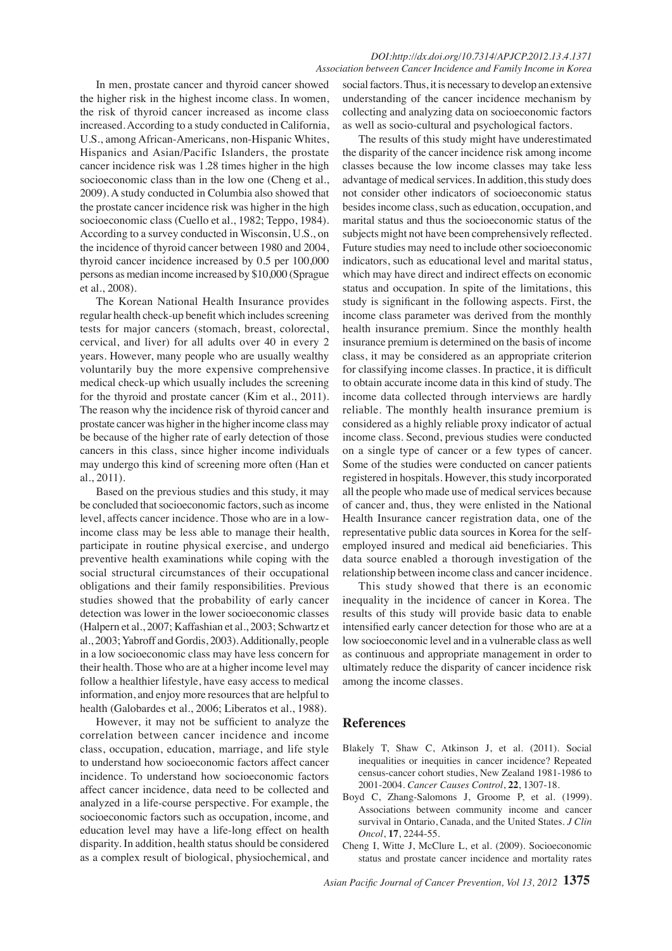#### *DOI:http://dx.doi.org/10.7314/APJCP.2012.13.4.1371 Association between Cancer Incidence and Family Income in Korea*

In men, prostate cancer and thyroid cancer showed the higher risk in the highest income class. In women, the risk of thyroid cancer increased as income class increased. According to a study conducted in California, U.S., among African-Americans, non-Hispanic Whites, Hispanics and Asian/Pacific Islanders, the prostate cancer incidence risk was 1.28 times higher in the high socioeconomic class than in the low one (Cheng et al., 2009). A study conducted in Columbia also showed that the prostate cancer incidence risk was higher in the high socioeconomic class (Cuello et al., 1982; Teppo, 1984). According to a survey conducted in Wisconsin, U.S., on the incidence of thyroid cancer between 1980 and 2004, thyroid cancer incidence increased by 0.5 per 100,000 persons as median income increased by \$10,000 (Sprague et al., 2008).

The Korean National Health Insurance provides regular health check-up benefit which includes screening tests for major cancers (stomach, breast, colorectal, cervical, and liver) for all adults over 40 in every 2 years. However, many people who are usually wealthy voluntarily buy the more expensive comprehensive medical check-up which usually includes the screening for the thyroid and prostate cancer (Kim et al., 2011). The reason why the incidence risk of thyroid cancer and prostate cancer was higher in the higher income class may be because of the higher rate of early detection of those cancers in this class, since higher income individuals may undergo this kind of screening more often (Han et al., 2011).

Based on the previous studies and this study, it may be concluded that socioeconomic factors, such as income level, affects cancer incidence. Those who are in a lowincome class may be less able to manage their health, participate in routine physical exercise, and undergo preventive health examinations while coping with the social structural circumstances of their occupational obligations and their family responsibilities. Previous studies showed that the probability of early cancer detection was lower in the lower socioeconomic classes (Halpern et al., 2007; Kaffashian et al., 2003; Schwartz et al., 2003; Yabroff and Gordis, 2003). Additionally, people in a low socioeconomic class may have less concern for their health. Those who are at a higher income level may follow a healthier lifestyle, have easy access to medical information, and enjoy more resources that are helpful to health (Galobardes et al., 2006; Liberatos et al., 1988).

However, it may not be sufficient to analyze the correlation between cancer incidence and income class, occupation, education, marriage, and life style to understand how socioeconomic factors affect cancer incidence. To understand how socioeconomic factors affect cancer incidence, data need to be collected and analyzed in a life-course perspective. For example, the socioeconomic factors such as occupation, income, and education level may have a life-long effect on health disparity. In addition, health status should be considered as a complex result of biological, physiochemical, and

social factors. Thus, it is necessary to develop an extensive understanding of the cancer incidence mechanism by collecting and analyzing data on socioeconomic factors as well as socio-cultural and psychological factors.

The results of this study might have underestimated the disparity of the cancer incidence risk among income classes because the low income classes may take less advantage of medical services. In addition, this study does not consider other indicators of socioeconomic status besides income class, such as education, occupation, and marital status and thus the socioeconomic status of the subjects might not have been comprehensively reflected. Future studies may need to include other socioeconomic indicators, such as educational level and marital status, which may have direct and indirect effects on economic status and occupation. In spite of the limitations, this study is significant in the following aspects. First, the income class parameter was derived from the monthly health insurance premium. Since the monthly health insurance premium is determined on the basis of income class, it may be considered as an appropriate criterion for classifying income classes. In practice, it is difficult to obtain accurate income data in this kind of study. The income data collected through interviews are hardly reliable. The monthly health insurance premium is considered as a highly reliable proxy indicator of actual income class. Second, previous studies were conducted on a single type of cancer or a few types of cancer. Some of the studies were conducted on cancer patients registered in hospitals. However, this study incorporated all the people who made use of medical services because of cancer and, thus, they were enlisted in the National Health Insurance cancer registration data, one of the representative public data sources in Korea for the selfemployed insured and medical aid beneficiaries. This data source enabled a thorough investigation of the relationship between income class and cancer incidence.

This study showed that there is an economic inequality in the incidence of cancer in Korea. The results of this study will provide basic data to enable intensified early cancer detection for those who are at a low socioeconomic level and in a vulnerable class as well as continuous and appropriate management in order to ultimately reduce the disparity of cancer incidence risk among the income classes.

# **References**

- Blakely T, Shaw C, Atkinson J, et al. (2011). Social inequalities or inequities in cancer incidence? Repeated census-cancer cohort studies, New Zealand 1981-1986 to 2001-2004. *Cancer Causes Control*, **22**, 1307-18.
- Boyd C, Zhang-Salomons J, Groome P, et al. (1999). Associations between community income and cancer survival in Ontario, Canada, and the United States. *J Clin Oncol*, **17**, 2244-55.
- Cheng I, Witte J, McClure L, et al. (2009). Socioeconomic status and prostate cancer incidence and mortality rates

*Asian Pacific Journal of Cancer Prevention, Vol 13, 2012* **1375**